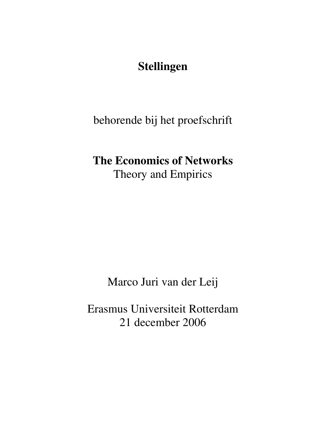## **Stellingen**

behorende bij het proefschrift

# **The Economics of Networks**  Theory and Empirics

Marco Juri van der Leij

Erasmus Universiteit Rotterdam 21 december 2006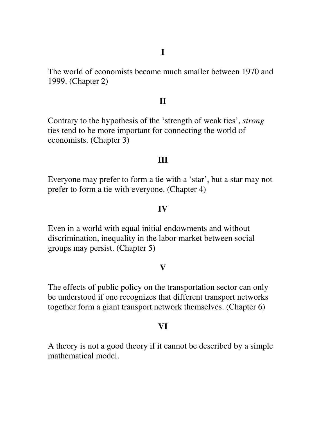The world of economists became much smaller between 1970 and 1999. (Chapter 2)

## **II**

Contrary to the hypothesis of the 'strength of weak ties', *strong* ties tend to be more important for connecting the world of economists. (Chapter 3)

#### **III**

Everyone may prefer to form a tie with a 'star', but a star may not prefer to form a tie with everyone. (Chapter 4)

#### **IV**

Even in a world with equal initial endowments and without discrimination, inequality in the labor market between social groups may persist. (Chapter 5)

#### **V**

The effects of public policy on the transportation sector can only be understood if one recognizes that different transport networks together form a giant transport network themselves. (Chapter 6)

#### **VI**

A theory is not a good theory if it cannot be described by a simple mathematical model.